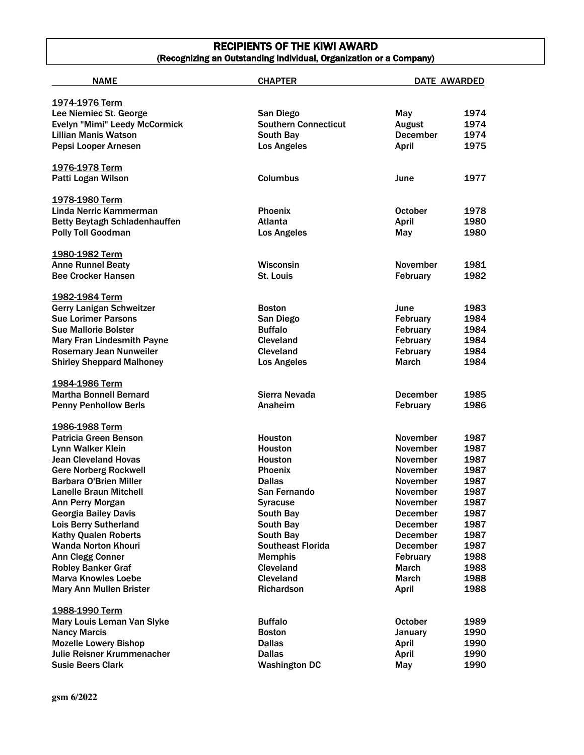# RECIPIENTS OF THE KIWI AWARD (Recognizing an Outstanding Individual, Organization or a Company)

| <b>NAME</b>                          | <b>CHAPTER</b>              | <b>DATE AWARDED</b> |      |
|--------------------------------------|-----------------------------|---------------------|------|
|                                      |                             |                     |      |
| 1974-1976 Term                       |                             |                     |      |
| Lee Niemiec St. George               | San Diego                   | May                 | 1974 |
| Evelyn "Mimi" Leedy McCormick        | <b>Southern Connecticut</b> | <b>August</b>       | 1974 |
| <b>Lillian Manis Watson</b>          | South Bay                   | December            | 1974 |
| Pepsi Looper Arnesen                 | <b>Los Angeles</b>          | <b>April</b>        | 1975 |
| 1976-1978 Term                       |                             |                     |      |
| Patti Logan Wilson                   | <b>Columbus</b>             | June                | 1977 |
| 1978-1980 Term                       |                             |                     |      |
| Linda Nerric Kammerman               | <b>Phoenix</b>              | <b>October</b>      | 1978 |
| <b>Betty Beytagh Schladenhauffen</b> | <b>Atlanta</b>              | <b>April</b>        | 1980 |
| <b>Polly Toll Goodman</b>            | <b>Los Angeles</b>          | May                 | 1980 |
| 1980-1982 Term                       |                             |                     |      |
| <b>Anne Runnel Beaty</b>             | Wisconsin                   | <b>November</b>     | 1981 |
| <b>Bee Crocker Hansen</b>            | St. Louis                   | February            | 1982 |
|                                      |                             |                     |      |
| 1982-1984 Term                       |                             |                     |      |
| <b>Gerry Lanigan Schweitzer</b>      | <b>Boston</b>               | June                | 1983 |
| <b>Sue Lorimer Parsons</b>           | San Diego                   | February            | 1984 |
| <b>Sue Mallorie Bolster</b>          | <b>Buffalo</b>              | February            | 1984 |
| <b>Mary Fran Lindesmith Payne</b>    | <b>Cleveland</b>            | February            | 1984 |
| <b>Rosemary Jean Nunweiler</b>       | Cleveland                   | February            | 1984 |
| <b>Shirley Sheppard Malhoney</b>     | <b>Los Angeles</b>          | <b>March</b>        | 1984 |
| 1984-1986 Term                       |                             |                     |      |
| <b>Martha Bonnell Bernard</b>        | Sierra Nevada               | <b>December</b>     | 1985 |
| <b>Penny Penhollow Berls</b>         | Anaheim                     | February            | 1986 |
| 1986-1988 Term                       |                             |                     |      |
| Patricia Green Benson                | <b>Houston</b>              | <b>November</b>     | 1987 |
| Lynn Walker Klein                    | <b>Houston</b>              | <b>November</b>     | 1987 |
| <b>Jean Cleveland Hovas</b>          | <b>Houston</b>              | <b>November</b>     | 1987 |
| <b>Gere Norberg Rockwell</b>         | <b>Phoenix</b>              | <b>November</b>     | 1987 |
| <b>Barbara O'Brien Miller</b>        | <b>Dallas</b>               | <b>November</b>     | 1987 |
| <b>Lanelle Braun Mitchell</b>        | <b>San Fernando</b>         | November            | 1987 |
| Ann Perry Morgan                     | <b>Syracuse</b>             | November            | 1987 |
| <b>Georgia Bailey Davis</b>          | South Bay                   | <b>December</b>     | 1987 |
| <b>Lois Berry Sutherland</b>         | South Bay                   | <b>December</b>     | 1987 |
| <b>Kathy Qualen Roberts</b>          | South Bay                   | <b>December</b>     | 1987 |
| <b>Wanda Norton Khouri</b>           | <b>Southeast Florida</b>    | <b>December</b>     | 1987 |
| <b>Ann Clegg Conner</b>              | <b>Memphis</b>              | February            | 1988 |
| <b>Robley Banker Graf</b>            | Cleveland                   | <b>March</b>        | 1988 |
| <b>Marva Knowles Loebe</b>           | Cleveland                   | <b>March</b>        | 1988 |
| <b>Mary Ann Mullen Brister</b>       | Richardson                  | April               | 1988 |
| 1988-1990 Term                       |                             |                     |      |
| Mary Louis Leman Van Slyke           | <b>Buffalo</b>              | <b>October</b>      | 1989 |
| <b>Nancy Marcis</b>                  | <b>Boston</b>               | January             | 1990 |
| <b>Mozelle Lowery Bishop</b>         | <b>Dallas</b>               | April               | 1990 |
| <b>Julie Reisner Krummenacher</b>    | <b>Dallas</b>               |                     | 1990 |
|                                      |                             | <b>April</b>        |      |
| <b>Susie Beers Clark</b>             | <b>Washington DC</b>        | May                 | 1990 |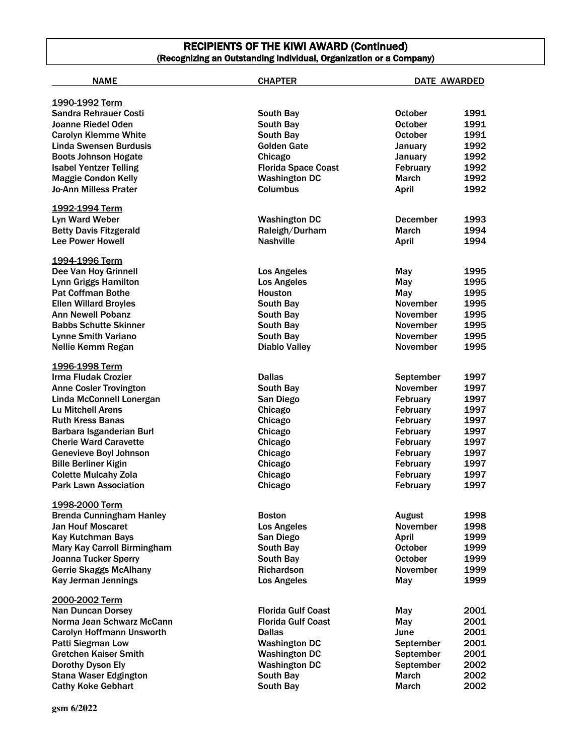### RECIPIENTS OF THE KIWI AWARD (Continued) (Recognizing an Outstanding Individual, Organization or a Company)

| <b>NAME</b>                     | <b>CHAPTER</b>             | <b>DATE AWARDED</b> |      |
|---------------------------------|----------------------------|---------------------|------|
|                                 |                            |                     |      |
| 1990-1992 Term                  |                            |                     |      |
| <b>Sandra Rehrauer Costi</b>    | South Bay                  | <b>October</b>      | 1991 |
| Joanne Riedel Oden              | South Bay                  | <b>October</b>      | 1991 |
| <b>Carolyn Klemme White</b>     | South Bay                  | <b>October</b>      | 1991 |
| <b>Linda Swensen Burdusis</b>   | <b>Golden Gate</b>         | January             | 1992 |
| <b>Boots Johnson Hogate</b>     | Chicago                    | January             | 1992 |
| <b>Isabel Yentzer Telling</b>   | <b>Florida Space Coast</b> | February            | 1992 |
| <b>Maggie Condon Kelly</b>      | <b>Washington DC</b>       | <b>March</b>        | 1992 |
| <b>Jo-Ann Milless Prater</b>    | Columbus                   | April               | 1992 |
| 1992-1994 Term                  |                            |                     |      |
| Lyn Ward Weber                  | <b>Washington DC</b>       | <b>December</b>     | 1993 |
| <b>Betty Davis Fitzgerald</b>   | Raleigh/Durham             | <b>March</b>        | 1994 |
| <b>Lee Power Howell</b>         | <b>Nashville</b>           | <b>April</b>        | 1994 |
| 1994-1996 Term                  |                            |                     |      |
| Dee Van Hoy Grinnell            | Los Angeles                | May                 | 1995 |
| <b>Lynn Griggs Hamilton</b>     | <b>Los Angeles</b>         | May                 | 1995 |
| <b>Pat Coffman Bothe</b>        | <b>Houston</b>             | May                 | 1995 |
| <b>Ellen Willard Broyles</b>    | South Bay                  | November            | 1995 |
| <b>Ann Newell Pobanz</b>        | South Bay                  | <b>November</b>     | 1995 |
| <b>Babbs Schutte Skinner</b>    | South Bay                  | <b>November</b>     | 1995 |
| <b>Lynne Smith Variano</b>      | South Bay                  | <b>November</b>     | 1995 |
| Nellie Kemm Regan               | <b>Diablo Valley</b>       | November            | 1995 |
| 1996-1998 Term                  |                            |                     |      |
| Irma Fludak Crozier             | <b>Dallas</b>              | September           | 1997 |
| <b>Anne Cosler Trovington</b>   | South Bay                  | November            | 1997 |
| Linda McConnell Lonergan        | San Diego                  | February            | 1997 |
| <b>Lu Mitchell Arens</b>        | Chicago                    | February            | 1997 |
| <b>Ruth Kress Banas</b>         | Chicago                    | February            | 1997 |
| Barbara Isganderian Burl        | Chicago                    | February            | 1997 |
| <b>Cherie Ward Caravette</b>    | Chicago                    | <b>February</b>     | 1997 |
| <b>Genevieve Boyl Johnson</b>   | Chicago                    | February            | 1997 |
| <b>Bille Berliner Kigin</b>     | Chicago                    | February            | 1997 |
| <b>Colette Mulcahy Zola</b>     | Chicago                    | February            | 1997 |
| <b>Park Lawn Association</b>    | Chicago                    | February            | 1997 |
| 1998-2000 Term                  |                            |                     |      |
| <b>Brenda Cunningham Hanley</b> | <b>Boston</b>              | <b>August</b>       | 1998 |
| <b>Jan Houf Moscaret</b>        | <b>Los Angeles</b>         | November            | 1998 |
| Kay Kutchman Bays               | San Diego                  | April               | 1999 |
| Mary Kay Carroll Birmingham     | South Bay                  | <b>October</b>      | 1999 |
| <b>Joanna Tucker Sperry</b>     | South Bay                  | <b>October</b>      | 1999 |
| <b>Gerrie Skaggs McAlhany</b>   | <b>Richardson</b>          | <b>November</b>     | 1999 |
| Kay Jerman Jennings             | <b>Los Angeles</b>         | May                 | 1999 |
| 2000-2002 Term                  |                            |                     |      |
| <b>Nan Duncan Dorsey</b>        | <b>Florida Gulf Coast</b>  | May                 | 2001 |
| Norma Jean Schwarz McCann       | <b>Florida Gulf Coast</b>  | May                 | 2001 |
| Carolyn Hoffmann Unsworth       | <b>Dallas</b>              | June                | 2001 |
| <b>Patti Siegman Low</b>        | <b>Washington DC</b>       | September           | 2001 |
| <b>Gretchen Kaiser Smith</b>    | <b>Washington DC</b>       | September           | 2001 |
| Dorothy Dyson Ely               | <b>Washington DC</b>       | September           | 2002 |
| <b>Stana Waser Edgington</b>    | South Bay                  | <b>March</b>        | 2002 |
| <b>Cathy Koke Gebhart</b>       | South Bay                  | March               | 2002 |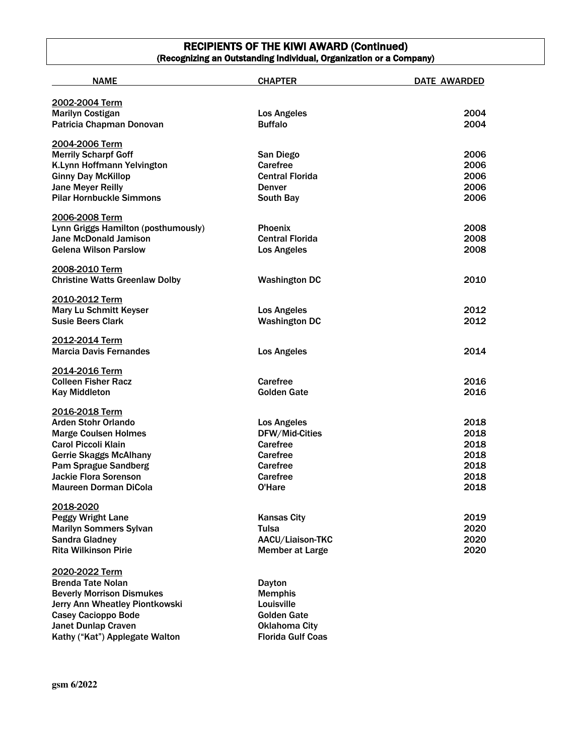## RECIPIENTS OF THE KIWI AWARD (Continued) (Recognizing an Outstanding Individual, Organization or a Company)

| <b>NAME</b>                                     | <b>CHAPTER</b>                             | DATE AWARDED |
|-------------------------------------------------|--------------------------------------------|--------------|
| 2002-2004 Term                                  |                                            |              |
| <b>Marilyn Costigan</b>                         | <b>Los Angeles</b>                         | 2004         |
| Patricia Chapman Donovan                        | <b>Buffalo</b>                             | 2004         |
|                                                 |                                            |              |
| 2004-2006 Term                                  |                                            |              |
| <b>Merrily Scharpf Goff</b>                     | San Diego                                  | 2006         |
| K.Lynn Hoffmann Yelvington                      | Carefree                                   | 2006         |
| <b>Ginny Day McKillop</b>                       | <b>Central Florida</b>                     | 2006         |
| <b>Jane Meyer Reilly</b>                        | <b>Denver</b>                              | 2006         |
| <b>Pilar Hornbuckle Simmons</b>                 | South Bay                                  | 2006         |
| 2006-2008 Term                                  |                                            |              |
| Lynn Griggs Hamilton (posthumously)             | Phoenix                                    | 2008         |
| <b>Jane McDonald Jamison</b>                    | <b>Central Florida</b>                     | 2008         |
| <b>Gelena Wilson Parslow</b>                    | <b>Los Angeles</b>                         | 2008         |
| 2008-2010 Term                                  |                                            |              |
| <b>Christine Watts Greenlaw Dolby</b>           | <b>Washington DC</b>                       | 2010         |
|                                                 |                                            |              |
| 2010-2012 Term<br><b>Mary Lu Schmitt Keyser</b> |                                            |              |
| <b>Susie Beers Clark</b>                        | <b>Los Angeles</b><br><b>Washington DC</b> | 2012<br>2012 |
|                                                 |                                            |              |
| 2012-2014 Term                                  |                                            |              |
| <b>Marcia Davis Fernandes</b>                   | <b>Los Angeles</b>                         | 2014         |
| 2014-2016 Term                                  |                                            |              |
| <b>Colleen Fisher Racz</b>                      | Carefree                                   | 2016         |
| <b>Kay Middleton</b>                            | <b>Golden Gate</b>                         | 2016         |
| 2016-2018 Term                                  |                                            |              |
| <b>Arden Stohr Orlando</b>                      | <b>Los Angeles</b>                         | 2018         |
| <b>Marge Coulsen Holmes</b>                     | DFW/Mid-Cities                             | 2018         |
| <b>Carol Piccoli Klain</b>                      | Carefree                                   | 2018         |
| <b>Gerrie Skaggs McAlhany</b>                   | Carefree                                   | 2018         |
| <b>Pam Sprague Sandberg</b>                     | Carefree                                   | 2018         |
| <b>Jackie Flora Sorenson</b>                    | Carefree                                   | 2018         |
| <b>Maureen Dorman DiCola</b>                    | O'Hare                                     | 2018         |
| 2018-2020                                       |                                            |              |
| <b>Peggy Wright Lane</b>                        | <b>Kansas City</b>                         | 2019         |
| <b>Marilyn Sommers Sylvan</b>                   | Tulsa                                      | 2020         |
| <b>Sandra Gladney</b>                           | AACU/Liaison-TKC                           | 2020         |
| <b>Rita Wilkinson Pirie</b>                     | <b>Member at Large</b>                     | 2020         |
|                                                 |                                            |              |
| 2020-2022 Term                                  |                                            |              |
| <b>Brenda Tate Nolan</b>                        | Dayton                                     |              |
| <b>Beverly Morrison Dismukes</b>                | <b>Memphis</b>                             |              |
| Jerry Ann Wheatley Piontkowski                  | Louisville                                 |              |
| <b>Casey Cacioppo Bode</b>                      | <b>Golden Gate</b>                         |              |
| <b>Janet Dunlap Craven</b>                      | <b>Oklahoma City</b>                       |              |
| Kathy ("Kat") Applegate Walton                  | <b>Florida Gulf Coas</b>                   |              |